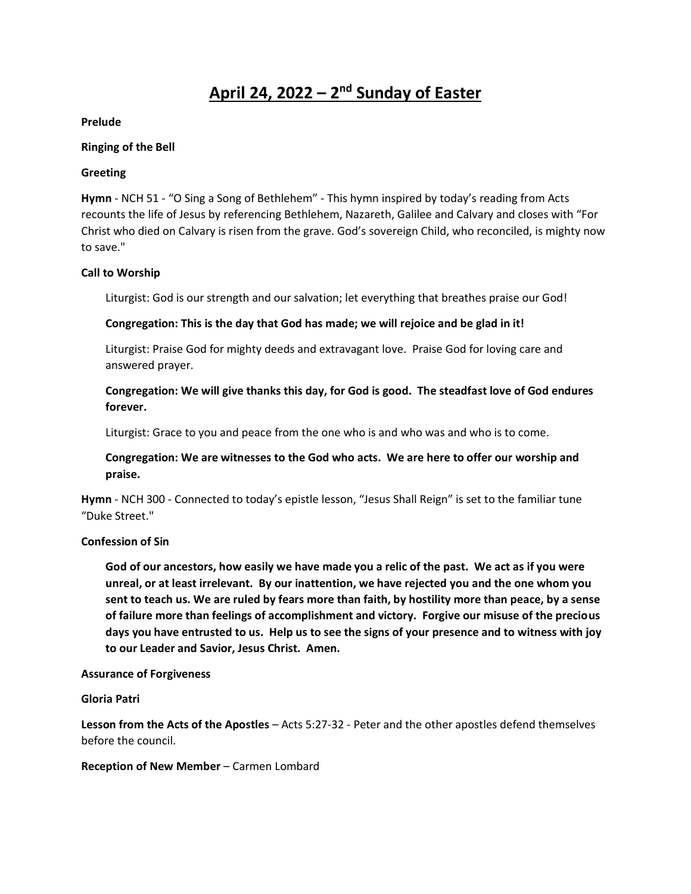# **April 24, 2022 – 2 nd Sunday of Easter**

## **Prelude**

#### **Ringing of the Bell**

## **Greeting**

**Hymn** - NCH 51 - "O Sing a Song of Bethlehem" - This hymn inspired by today's reading from Acts recounts the life of Jesus by referencing Bethlehem, Nazareth, Galilee and Calvary and closes with "For Christ who died on Calvary is risen from the grave. God's sovereign Child, who reconciled, is mighty now to save."

## **Call to Worship**

Liturgist: God is our strength and our salvation; let everything that breathes praise our God!

## **Congregation: This is the day that God has made; we will rejoice and be glad in it!**

Liturgist: Praise God for mighty deeds and extravagant love. Praise God for loving care and answered prayer.

# **Congregation: We will give thanks this day, for God is good. The steadfast love of God endures forever.**

Liturgist: Grace to you and peace from the one who is and who was and who is to come.

# **Congregation: We are witnesses to the God who acts. We are here to offer our worship and praise.**

**Hymn** - NCH 300 - Connected to today's epistle lesson, "Jesus Shall Reign" is set to the familiar tune "Duke Street."

## **Confession of Sin**

**God of our ancestors, how easily we have made you a relic of the past. We act as if you were unreal, or at least irrelevant. By our inattention, we have rejected you and the one whom you sent to teach us. We are ruled by fears more than faith, by hostility more than peace, by a sense of failure more than feelings of accomplishment and victory. Forgive our misuse of the precious days you have entrusted to us. Help us to see the signs of your presence and to witness with joy to our Leader and Savior, Jesus Christ. Amen.** 

#### **Assurance of Forgiveness**

#### **Gloria Patri**

**Lesson from the Acts of the Apostles** – Acts 5:27-32 - Peter and the other apostles defend themselves before the council.

#### **Reception of New Member** – Carmen Lombard